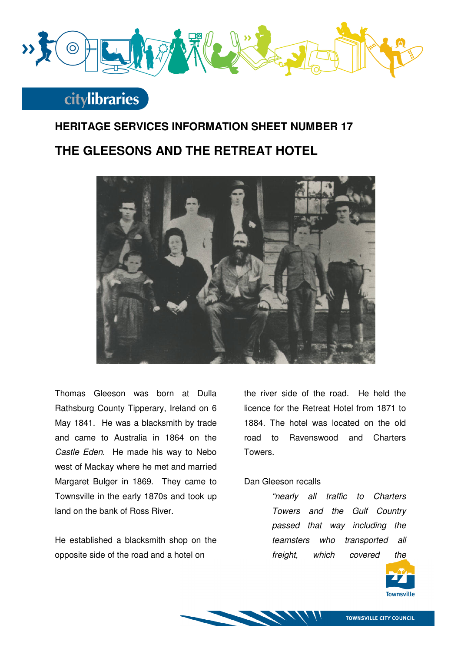

# **citylibraries**

### **HERITAGE SERVICES INFORMATION SHEET NUMBER 17**

### **THE GLEESONS AND THE RETREAT HOTEL**



Thomas Gleeson was born at Dulla Rathsburg County Tipperary, Ireland on 6 May 1841. He was a blacksmith by trade and came to Australia in 1864 on the Castle Eden. He made his way to Nebo west of Mackay where he met and married Margaret Bulger in 1869. They came to Townsville in the early 1870s and took up land on the bank of Ross River.

He established a blacksmith shop on the opposite side of the road and a hotel on

the river side of the road. He held the licence for the Retreat Hotel from 1871 to 1884. The hotel was located on the old road to Ravenswood and Charters Towers.

#### Dan Gleeson recalls

"nearly all traffic to Charters Towers and the Gulf Country passed that way including the teamsters who transported all freight, which covered the